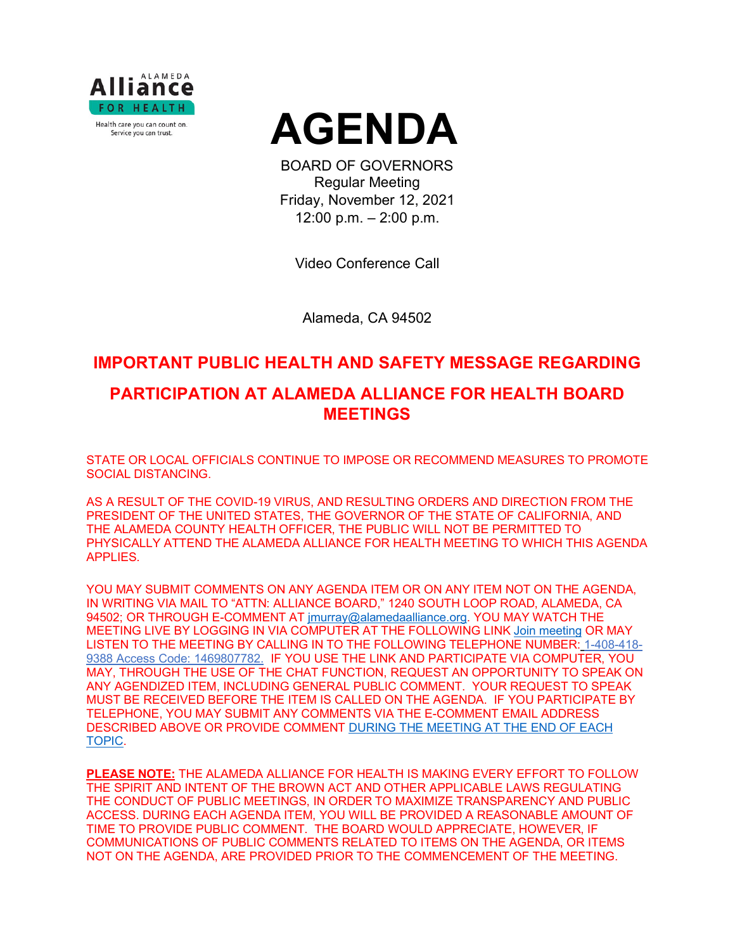



BOARD OF GOVERNORS Regular Meeting Friday, November 12, 2021 12:00 p.m. – 2:00 p.m.

Video Conference Call

Alameda, CA 94502

# **IMPORTANT PUBLIC HEALTH AND SAFETY MESSAGE REGARDING**

# **PARTICIPATION AT ALAMEDA ALLIANCE FOR HEALTH BOARD MEETINGS**

STATE OR LOCAL OFFICIALS CONTINUE TO IMPOSE OR RECOMMEND MEASURES TO PROMOTE SOCIAL DISTANCING.

AS A RESULT OF THE COVID-19 VIRUS, AND RESULTING ORDERS AND DIRECTION FROM THE PRESIDENT OF THE UNITED STATES, THE GOVERNOR OF THE STATE OF CALIFORNIA, AND THE ALAMEDA COUNTY HEALTH OFFICER, THE PUBLIC WILL NOT BE PERMITTED TO PHYSICALLY ATTEND THE ALAMEDA ALLIANCE FOR HEALTH MEETING TO WHICH THIS AGENDA APPLIES.

YOU MAY SUBMIT COMMENTS ON ANY AGENDA ITEM OR ON ANY ITEM NOT ON THE AGENDA, IN WRITING VIA MAIL TO "ATTN: ALLIANCE BOARD," 1240 SOUTH LOOP ROAD, ALAMEDA, CA 94502; OR THROUGH E-COMMENT AT [jmurray@alamedaalliance.org.](mailto:jmurray@alamedaalliance.org) YOU MAY WATCH THE MEETING LIVE BY LOGGING IN VIA COMPUTER AT THE FOLLOWING LINK [Join meeting](https://alamedaalliance.webex.com/alamedaalliance/j.php?MTID=m4fefbe72831c76b47303fd84ed522225) OR MAY LISTEN TO THE MEETING BY CALLING IN TO THE FOLLOWING TELEPHONE NUMBER: 1-408-418- 9388 Access Code: 1469807782. IF YOU USE THE LINK AND PARTICIPATE VIA COMPUTER, YOU MAY, THROUGH THE USE OF THE CHAT FUNCTION, REQUEST AN OPPORTUNITY TO SPEAK ON ANY AGENDIZED ITEM, INCLUDING GENERAL PUBLIC COMMENT. YOUR REQUEST TO SPEAK MUST BE RECEIVED BEFORE THE ITEM IS CALLED ON THE AGENDA. IF YOU PARTICIPATE BY TELEPHONE, YOU MAY SUBMIT ANY COMMENTS VIA THE E-COMMENT EMAIL ADDRESS DESCRIBED ABOVE OR PROVIDE COMMENT DURING THE MEETING AT THE END OF EACH TOPIC.

**PLEASE NOTE:** THE ALAMEDA ALLIANCE FOR HEALTH IS MAKING EVERY EFFORT TO FOLLOW THE SPIRIT AND INTENT OF THE BROWN ACT AND OTHER APPLICABLE LAWS REGULATING THE CONDUCT OF PUBLIC MEETINGS, IN ORDER TO MAXIMIZE TRANSPARENCY AND PUBLIC ACCESS. DURING EACH AGENDA ITEM, YOU WILL BE PROVIDED A REASONABLE AMOUNT OF TIME TO PROVIDE PUBLIC COMMENT. THE BOARD WOULD APPRECIATE, HOWEVER, IF COMMUNICATIONS OF PUBLIC COMMENTS RELATED TO ITEMS ON THE AGENDA, OR ITEMS NOT ON THE AGENDA, ARE PROVIDED PRIOR TO THE COMMENCEMENT OF THE MEETING.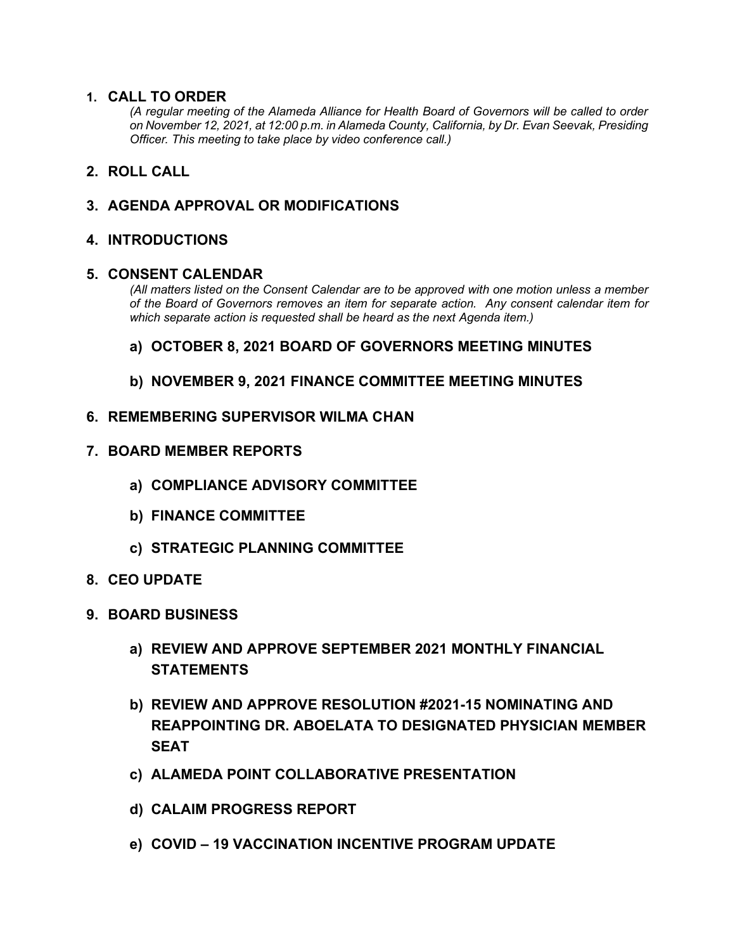## **1. CALL TO ORDER**

*(A regular meeting of the Alameda Alliance for Health Board of Governors will be called to order on November 12, 2021, at 12:00 p.m. in Alameda County, California, by Dr. Evan Seevak, Presiding Officer. This meeting to take place by video conference call.)*

## **2. ROLL CALL**

## **3. AGENDA APPROVAL OR MODIFICATIONS**

## **4. INTRODUCTIONS**

#### **5. CONSENT CALENDAR**

*(All matters listed on the Consent Calendar are to be approved with one motion unless a member of the Board of Governors removes an item for separate action. Any consent calendar item for which separate action is requested shall be heard as the next Agenda item.)*

## **a) OCTOBER 8, 2021 BOARD OF GOVERNORS MEETING MINUTES**

## **b) NOVEMBER 9, 2021 FINANCE COMMITTEE MEETING MINUTES**

## **6. REMEMBERING SUPERVISOR WILMA CHAN**

- **7. BOARD MEMBER REPORTS**
	- **a) COMPLIANCE ADVISORY COMMITTEE**
	- **b) FINANCE COMMITTEE**
	- **c) STRATEGIC PLANNING COMMITTEE**
- **8. CEO UPDATE**
- **9. BOARD BUSINESS**
	- **a) REVIEW AND APPROVE SEPTEMBER 2021 MONTHLY FINANCIAL STATEMENTS**
	- **b) REVIEW AND APPROVE RESOLUTION #2021-15 NOMINATING AND REAPPOINTING DR. ABOELATA TO DESIGNATED PHYSICIAN MEMBER SEAT**
	- **c) ALAMEDA POINT COLLABORATIVE PRESENTATION**
	- **d) CALAIM PROGRESS REPORT**
	- **e) COVID – 19 VACCINATION INCENTIVE PROGRAM UPDATE**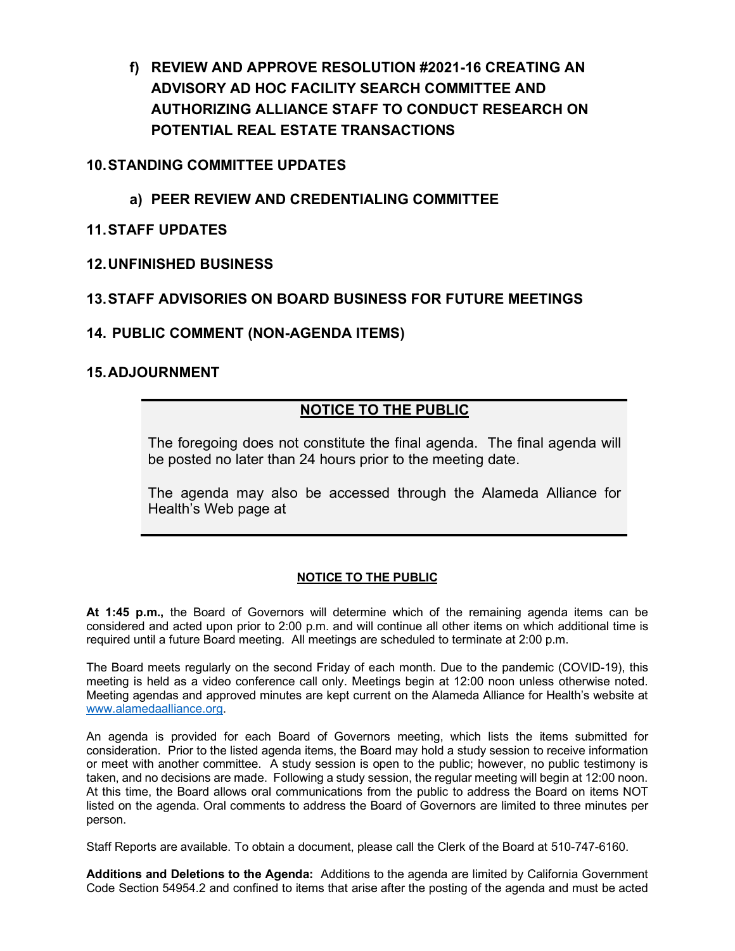**f) REVIEW AND APPROVE RESOLUTION #2021-16 CREATING AN ADVISORY AD HOC FACILITY SEARCH COMMITTEE AND AUTHORIZING ALLIANCE STAFF TO CONDUCT RESEARCH ON POTENTIAL REAL ESTATE TRANSACTIONS**

# **10.STANDING COMMITTEE UPDATES**

- **a) PEER REVIEW AND CREDENTIALING COMMITTEE**
- **11.STAFF UPDATES**
- **12.UNFINISHED BUSINESS**

# **13.STAFF ADVISORIES ON BOARD BUSINESS FOR FUTURE MEETINGS**

# **14. PUBLIC COMMENT (NON-AGENDA ITEMS)**

# **15.ADJOURNMENT**

# **NOTICE TO THE PUBLIC**

The foregoing does not constitute the final agenda. The final agenda will be posted no later than 24 hours prior to the meeting date.

The agenda may also be accessed through the Alameda Alliance for Health's Web page at

## **NOTICE TO THE PUBLIC**

**At 1:45 p.m.,** the Board of Governors will determine which of the remaining agenda items can be considered and acted upon prior to 2:00 p.m. and will continue all other items on which additional time is required until a future Board meeting. All meetings are scheduled to terminate at 2:00 p.m.

The Board meets regularly on the second Friday of each month. Due to the pandemic (COVID-19), this meeting is held as a video conference call only. Meetings begin at 12:00 noon unless otherwise noted. Meeting agendas and approved minutes are kept current on the Alameda Alliance for Health's website at [www.alamedaalliance.org.](http://www.alamedaalliance.org/)

An agenda is provided for each Board of Governors meeting, which lists the items submitted for consideration. Prior to the listed agenda items, the Board may hold a study session to receive information or meet with another committee. A study session is open to the public; however, no public testimony is taken, and no decisions are made. Following a study session, the regular meeting will begin at 12:00 noon. At this time, the Board allows oral communications from the public to address the Board on items NOT listed on the agenda. Oral comments to address the Board of Governors are limited to three minutes per person.

Staff Reports are available. To obtain a document, please call the Clerk of the Board at 510-747-6160.

**Additions and Deletions to the Agenda:** Additions to the agenda are limited by California Government Code Section 54954.2 and confined to items that arise after the posting of the agenda and must be acted